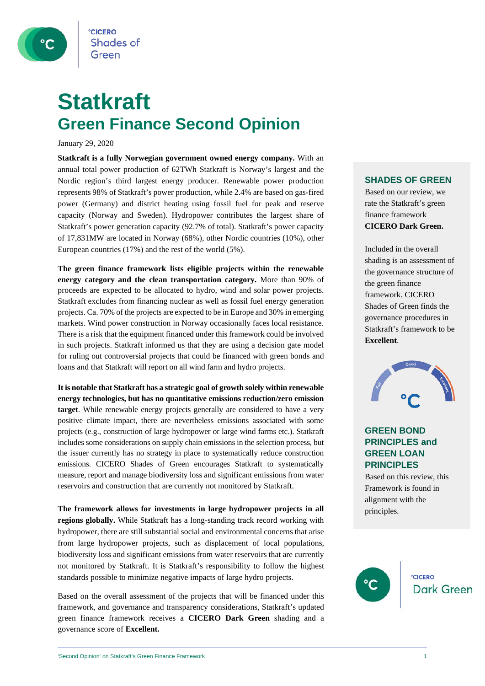

### **Statkraft Green Finance Second Opinion**

January 29, 2020

**Statkraft is a fully Norwegian government owned energy company.** With an annual total power production of 62TWh Statkraft is Norway's largest and the Nordic region's third largest energy producer. Renewable power production represents 98% of Statkraft's power production, while 2.4% are based on gas-fired power (Germany) and district heating using fossil fuel for peak and reserve capacity (Norway and Sweden). Hydropower contributes the largest share of Statkraft's power generation capacity (92.7% of total). Statkraft's power capacity of 17,831MW are located in Norway (68%), other Nordic countries (10%), other European countries (17%) and the rest of the world (5%).

**The green finance framework lists eligible projects within the renewable energy category and the clean transportation category.** More than 90% of proceeds are expected to be allocated to hydro, wind and solar power projects. Statkraft excludes from financing nuclear as well as fossil fuel energy generation projects. Ca. 70% of the projects are expected to be in Europe and 30% in emerging markets. Wind power construction in Norway occasionally faces local resistance. There is a risk that the equipment financed under this framework could be involved in such projects. Statkraft informed us that they are using a decision gate model for ruling out controversial projects that could be financed with green bonds and loans and that Statkraft will report on all wind farm and hydro projects.

**It is notable that Statkraft has a strategic goal of growth solely within renewable energy technologies, but has no quantitative emissions reduction/zero emission target**. While renewable energy projects generally are considered to have a very positive climate impact, there are nevertheless emissions associated with some projects (e.g., construction of large hydropower or large wind farms etc.). Statkraft includes some considerations on supply chain emissions in the selection process, but the issuer currently has no strategy in place to systematically reduce construction emissions. CICERO Shades of Green encourages Statkraft to systematically measure, report and manage biodiversity loss and significant emissions from water reservoirs and construction that are currently not monitored by Statkraft.

**The framework allows for investments in large hydropower projects in all regions globally.** While Statkraft has a long-standing track record working with hydropower, there are still substantial social and environmental concerns that arise from large hydropower projects, such as displacement of local populations, biodiversity loss and significant emissions from water reservoirs that are currently not monitored by Statkraft. It is Statkraft's responsibility to follow the highest standards possible to minimize negative impacts of large hydro projects.

Based on the overall assessment of the projects that will be financed under this framework, and governance and transparency considerations, Statkraft's updated green finance framework receives a **CICERO Dark Green** shading and a governance score of **Excellent.**

### **SHADES OF GREEN**

Based on our review, we rate the Statkraft's green finance framework **CICERO Dark Green.** 

Included in the overall shading is an assessment of the governance structure of the green finance framework. CICERO Shades of Green finds the governance procedures in Statkraft's framework to be **Excellent**.



### **GREEN BOND PRINCIPLES and GREEN LOAN PRINCIPLES**

Based on this review, this Framework is found in alignment with the principles.

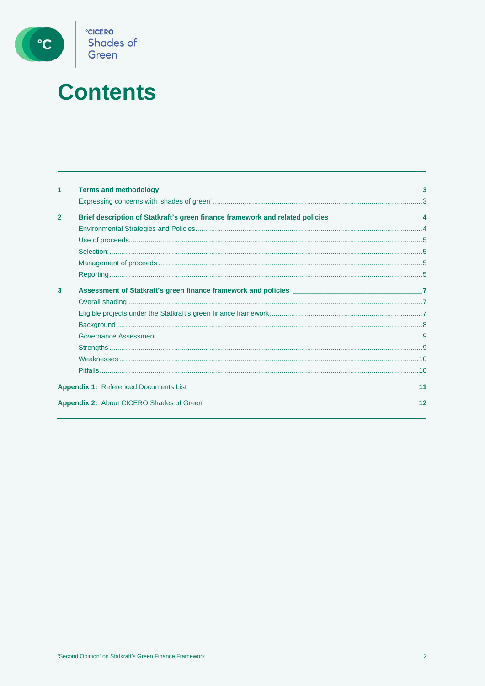

# **Contents**

| 1              |                                                                                                        |    |
|----------------|--------------------------------------------------------------------------------------------------------|----|
|                |                                                                                                        |    |
| $\overline{2}$ | Brief description of Statkraft's green finance framework and related policies________________________4 |    |
|                |                                                                                                        |    |
|                |                                                                                                        |    |
|                |                                                                                                        |    |
|                |                                                                                                        |    |
|                |                                                                                                        |    |
| 3              | Assessment of Statkraft's green finance framework and policies ___________________________________7    |    |
|                |                                                                                                        |    |
|                |                                                                                                        |    |
|                |                                                                                                        |    |
|                |                                                                                                        |    |
|                |                                                                                                        |    |
|                |                                                                                                        |    |
|                |                                                                                                        |    |
|                |                                                                                                        | 11 |
|                | <b>Appendix 2:</b> About CICERO Shades of Green <b>Appendix 2: About CICERO Shades of Green</b>        | 12 |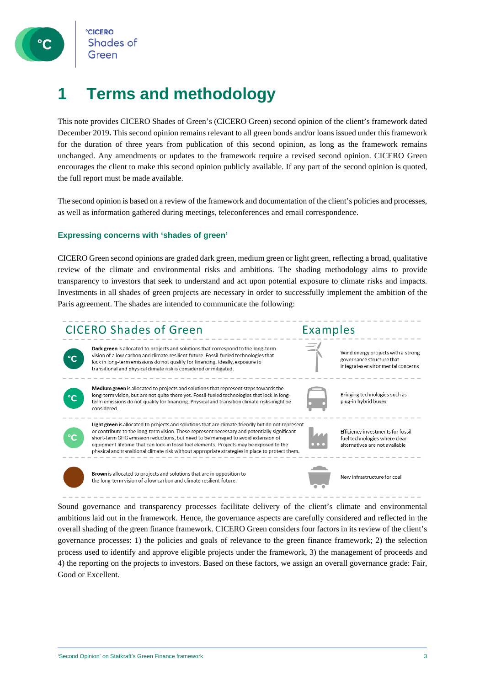### **1 Terms and methodology**

This note provides CICERO Shades of Green's (CICERO Green) second opinion of the client's framework dated December 2019**.** This second opinion remains relevant to all green bonds and/or loans issued under this framework for the duration of three years from publication of this second opinion, as long as the framework remains unchanged. Any amendments or updates to the framework require a revised second opinion. CICERO Green encourages the client to make this second opinion publicly available. If any part of the second opinion is quoted, the full report must be made available.

The second opinion is based on a review of the framework and documentation of the client's policies and processes, as well as information gathered during meetings, teleconferences and email correspondence.

### **Expressing concerns with 'shades of green'**

CICERO Green second opinions are graded dark green, medium green or light green, reflecting a broad, qualitative review of the climate and environmental risks and ambitions. The shading methodology aims to provide transparency to investors that seek to understand and act upon potential exposure to climate risks and impacts. Investments in all shades of green projects are necessary in order to successfully implement the ambition of the Paris agreement. The shades are intended to communicate the following:



Sound governance and transparency processes facilitate delivery of the client's climate and environmental ambitions laid out in the framework. Hence, the governance aspects are carefully considered and reflected in the overall shading of the green finance framework. CICERO Green considers four factors in its review of the client's governance processes: 1) the policies and goals of relevance to the green finance framework; 2) the selection process used to identify and approve eligible projects under the framework, 3) the management of proceeds and 4) the reporting on the projects to investors. Based on these factors, we assign an overall governance grade: Fair, Good or Excellent.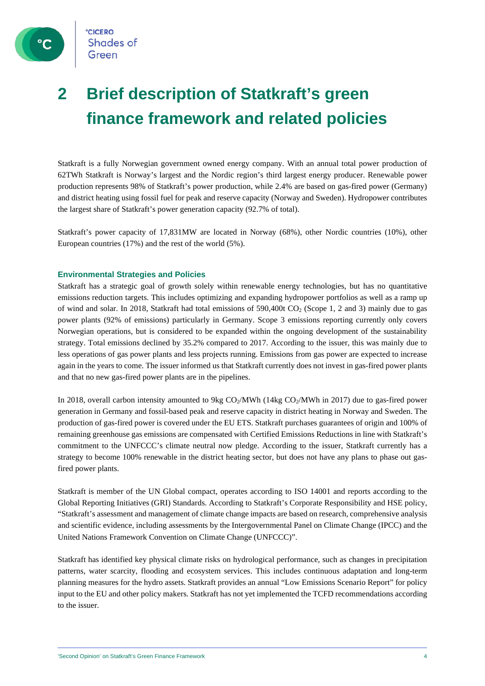

### **2 Brief description of Statkraft's green finance framework and related policies**

Statkraft is a fully Norwegian government owned energy company. With an annual total power production of 62TWh Statkraft is Norway's largest and the Nordic region's third largest energy producer. Renewable power production represents 98% of Statkraft's power production, while 2.4% are based on gas-fired power (Germany) and district heating using fossil fuel for peak and reserve capacity (Norway and Sweden). Hydropower contributes the largest share of Statkraft's power generation capacity (92.7% of total).

Statkraft's power capacity of 17,831MW are located in Norway (68%), other Nordic countries (10%), other European countries (17%) and the rest of the world (5%).

### **Environmental Strategies and Policies**

Statkraft has a strategic goal of growth solely within renewable energy technologies, but has no quantitative emissions reduction targets. This includes optimizing and expanding hydropower portfolios as well as a ramp up of wind and solar. In 2018, Statkraft had total emissions of 590,400t CO2 (Scope 1, 2 and 3) mainly due to gas power plants (92% of emissions) particularly in Germany. Scope 3 emissions reporting currently only covers Norwegian operations, but is considered to be expanded within the ongoing development of the sustainability strategy. Total emissions declined by 35.2% compared to 2017. According to the issuer, this was mainly due to less operations of gas power plants and less projects running. Emissions from gas power are expected to increase again in the years to come. The issuer informed us that Statkraft currently does not invest in gas-fired power plants and that no new gas-fired power plants are in the pipelines.

In 2018, overall carbon intensity amounted to 9kg CO<sub>2</sub>/MWh (14kg CO<sub>2</sub>/MWh in 2017) due to gas-fired power generation in Germany and fossil-based peak and reserve capacity in district heating in Norway and Sweden. The production of gas-fired power is covered under the EU ETS. Statkraft purchases guarantees of origin and 100% of remaining greenhouse gas emissions are compensated with Certified Emissions Reductions in line with Statkraft's commitment to the UNFCCC's climate neutral now pledge. According to the issuer, Statkraft currently has a strategy to become 100% renewable in the district heating sector, but does not have any plans to phase out gasfired power plants.

Statkraft is member of the UN Global compact, operates according to ISO 14001 and reports according to the Global Reporting Initiatives (GRI) Standards. According to Statkraft's Corporate Responsibility and HSE policy, "Statkraft's assessment and management of climate change impacts are based on research, comprehensive analysis and scientific evidence, including assessments by the Intergovernmental Panel on Climate Change (IPCC) and the United Nations Framework Convention on Climate Change (UNFCCC)".

Statkraft has identified key physical climate risks on hydrological performance, such as changes in precipitation patterns, water scarcity, flooding and ecosystem services. This includes continuous adaptation and long-term planning measures for the hydro assets. Statkraft provides an annual "Low Emissions Scenario Report" for policy input to the EU and other policy makers. Statkraft has not yet implemented the TCFD recommendations according to the issuer.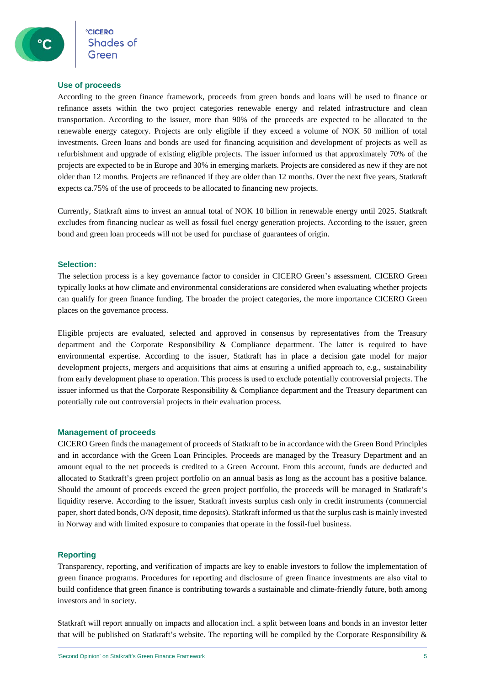### **Use of proceeds**

According to the green finance framework, proceeds from green bonds and loans will be used to finance or refinance assets within the two project categories renewable energy and related infrastructure and clean transportation. According to the issuer, more than 90% of the proceeds are expected to be allocated to the renewable energy category. Projects are only eligible if they exceed a volume of NOK 50 million of total investments. Green loans and bonds are used for financing acquisition and development of projects as well as refurbishment and upgrade of existing eligible projects. The issuer informed us that approximately 70% of the projects are expected to be in Europe and 30% in emerging markets. Projects are considered as new if they are not older than 12 months. Projects are refinanced if they are older than 12 months. Over the next five years, Statkraft expects ca.75% of the use of proceeds to be allocated to financing new projects.

Currently, Statkraft aims to invest an annual total of NOK 10 billion in renewable energy until 2025. Statkraft excludes from financing nuclear as well as fossil fuel energy generation projects. According to the issuer, green bond and green loan proceeds will not be used for purchase of guarantees of origin.

### **Selection:**

The selection process is a key governance factor to consider in CICERO Green's assessment. CICERO Green typically looks at how climate and environmental considerations are considered when evaluating whether projects can qualify for green finance funding. The broader the project categories, the more importance CICERO Green places on the governance process.

Eligible projects are evaluated, selected and approved in consensus by representatives from the Treasury department and the Corporate Responsibility & Compliance department. The latter is required to have environmental expertise. According to the issuer, Statkraft has in place a decision gate model for major development projects, mergers and acquisitions that aims at ensuring a unified approach to, e.g., sustainability from early development phase to operation. This process is used to exclude potentially controversial projects. The issuer informed us that the Corporate Responsibility & Compliance department and the Treasury department can potentially rule out controversial projects in their evaluation process.

### **Management of proceeds**

CICERO Green finds the management of proceeds of Statkraft to be in accordance with the Green Bond Principles and in accordance with the Green Loan Principles. Proceeds are managed by the Treasury Department and an amount equal to the net proceeds is credited to a Green Account. From this account, funds are deducted and allocated to Statkraft's green project portfolio on an annual basis as long as the account has a positive balance. Should the amount of proceeds exceed the green project portfolio, the proceeds will be managed in Statkraft's liquidity reserve. According to the issuer, Statkraft invests surplus cash only in credit instruments (commercial paper, short dated bonds, O/N deposit, time deposits). Statkraft informed us that the surplus cash is mainly invested in Norway and with limited exposure to companies that operate in the fossil-fuel business.

### **Reporting**

Transparency, reporting, and verification of impacts are key to enable investors to follow the implementation of green finance programs. Procedures for reporting and disclosure of green finance investments are also vital to build confidence that green finance is contributing towards a sustainable and climate-friendly future, both among investors and in society.

Statkraft will report annually on impacts and allocation incl. a split between loans and bonds in an investor letter that will be published on Statkraft's website. The reporting will be compiled by the Corporate Responsibility &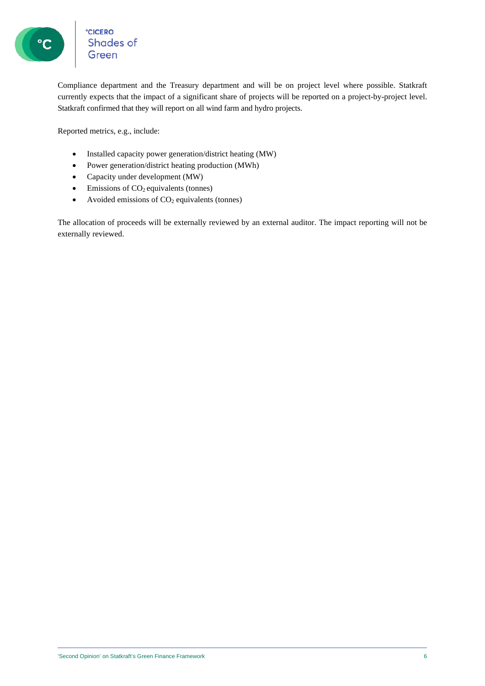°cicero<br>Shades of<br>Green

Compliance department and the Treasury department and will be on project level where possible. Statkraft currently expects that the impact of a significant share of projects will be reported on a project-by-project level. Statkraft confirmed that they will report on all wind farm and hydro projects.

Reported metrics, e.g., include:

- Installed capacity power generation/district heating (MW)
- Power generation/district heating production (MWh)
- Capacity under development (MW)
- $\bullet$  Emissions of CO<sub>2</sub> equivalents (tonnes)
- Avoided emissions of  $CO<sub>2</sub>$  equivalents (tonnes)

The allocation of proceeds will be externally reviewed by an external auditor. The impact reporting will not be externally reviewed.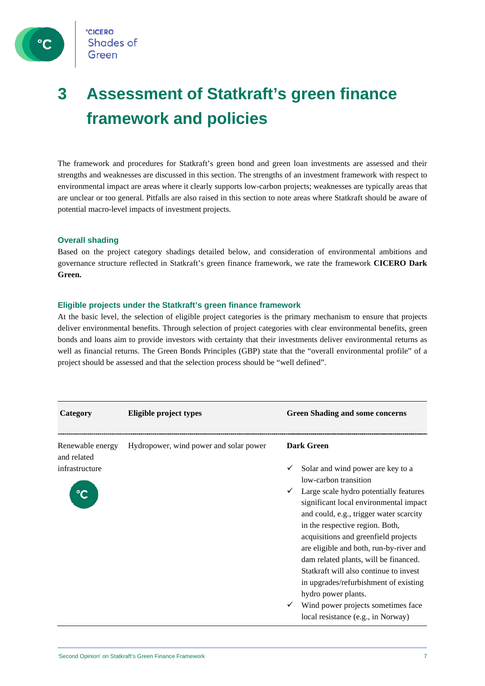

**CICERO Shades of** Green

### **3 Assessment of Statkraft's green finance framework and policies**

The framework and procedures for Statkraft's green bond and green loan investments are assessed and their strengths and weaknesses are discussed in this section. The strengths of an investment framework with respect to environmental impact are areas where it clearly supports low-carbon projects; weaknesses are typically areas that are unclear or too general. Pitfalls are also raised in this section to note areas where Statkraft should be aware of potential macro-level impacts of investment projects.

### **Overall shading**

Based on the project category shadings detailed below, and consideration of environmental ambitions and governance structure reflected in Statkraft's green finance framework, we rate the framework **CICERO Dark Green.**

### **Eligible projects under the Statkraft's green finance framework**

At the basic level, the selection of eligible project categories is the primary mechanism to ensure that projects deliver environmental benefits. Through selection of project categories with clear environmental benefits, green bonds and loans aim to provide investors with certainty that their investments deliver environmental returns as well as financial returns. The Green Bonds Principles (GBP) state that the "overall environmental profile" of a project should be assessed and that the selection process should be "well defined".

| Category                        | Eligible project types                 |                   | <b>Green Shading and some concerns</b>                                                                                                                                                                                                                                                                                                                                                               |
|---------------------------------|----------------------------------------|-------------------|------------------------------------------------------------------------------------------------------------------------------------------------------------------------------------------------------------------------------------------------------------------------------------------------------------------------------------------------------------------------------------------------------|
| Renewable energy<br>and related | Hydropower, wind power and solar power | <b>Dark Green</b> |                                                                                                                                                                                                                                                                                                                                                                                                      |
| infrastructure                  |                                        | ✓                 | Solar and wind power are key to a<br>low-carbon transition                                                                                                                                                                                                                                                                                                                                           |
|                                 |                                        |                   | Large scale hydro potentially features<br>significant local environmental impact<br>and could, e.g., trigger water scarcity<br>in the respective region. Both,<br>acquisitions and greenfield projects<br>are eligible and both, run-by-river and<br>dam related plants, will be financed.<br>Statkraft will also continue to invest<br>in upgrades/refurbishment of existing<br>hydro power plants. |
|                                 |                                        |                   | Wind power projects sometimes face<br>local resistance (e.g., in Norway)                                                                                                                                                                                                                                                                                                                             |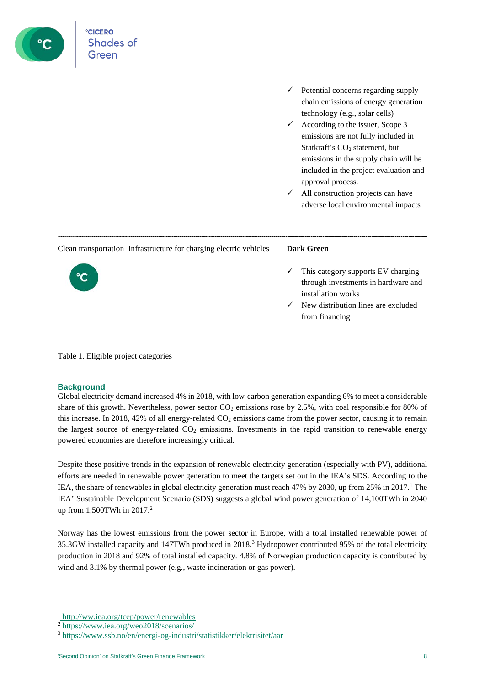

 $\checkmark$  New distribution lines are excluded from financing

Table 1. Eligible project categories

### **Background**

Global electricity demand increased 4% in 2018, with low-carbon generation expanding 6% to meet a considerable share of this growth. Nevertheless, power sector  $CO<sub>2</sub>$  emissions rose by 2.5%, with coal responsible for 80% of this increase. In 2018, 42% of all energy-related  $CO<sub>2</sub>$  emissions came from the power sector, causing it to remain the largest source of energy-related  $CO<sub>2</sub>$  emissions. Investments in the rapid transition to renewable energy powered economies are therefore increasingly critical.

Despite these positive trends in the expansion of renewable electricity generation (especially with PV), additional efforts are needed in renewable power generation to meet the targets set out in the IEA's SDS. According to the IEA, the share of renewables in global electricity generation must reach 47% by 2030, up from 25% in 20[1](#page-7-0)7.<sup>1</sup> The IEA' Sustainable Development Scenario (SDS) suggests a global wind power generation of 14,100TWh in 2040 up from 1,500TWh in [2](#page-7-1)017.<sup>2</sup>

<span id="page-7-3"></span>Norway has the lowest emissions from the power sector in Europe, with a total installed renewable power of [3](#page-7-2)5.3GW installed capacity and 147TWh produced in 2018.<sup>3</sup> Hydropower contributed 95% of the total electricity production in 2018 and 92% of total installed capacity. 4.8% of Norwegian production capacity is contributed by wind and 3.1% by thermal power (e.g., waste incineration or gas power).

<span id="page-7-0"></span><sup>1</sup> <http://ww.iea.org/tcep/power/renewables>

<span id="page-7-1"></span><sup>2</sup> <https://www.iea.org/weo2018/scenarios/>

<span id="page-7-2"></span><sup>3</sup> <https://www.ssb.no/en/energi-og-industri/statistikker/elektrisitet/aar>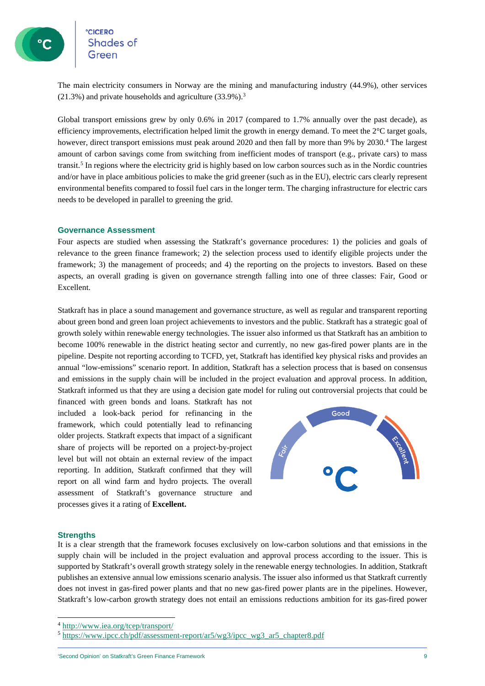Shades of

The main electricity consumers in Norway are the mining and manufacturing industry (44.9%), other services  $(21.3\%)$  $(21.3\%)$  $(21.3\%)$  and private households and agriculture  $(33.9\%)$ .<sup>3</sup>

Global transport emissions grew by only 0.6% in 2017 (compared to 1.7% annually over the past decade), as efficiency improvements, electrification helped limit the growth in energy demand. To meet the 2°C target goals, however, direct transport emissions must peak around 2020 and then fall by more than 9% by 2030.<sup>[4](#page-8-0)</sup> The largest amount of carbon savings come from switching from inefficient modes of transport (e.g., private cars) to mass transit.[5](#page-8-1) In regions where the electricity grid is highly based on low carbon sources such as in the Nordic countries and/or have in place ambitious policies to make the grid greener (such as in the EU), electric cars clearly represent environmental benefits compared to fossil fuel cars in the longer term. The charging infrastructure for electric cars needs to be developed in parallel to greening the grid.

#### **Governance Assessment**

Four aspects are studied when assessing the Statkraft's governance procedures: 1) the policies and goals of relevance to the green finance framework; 2) the selection process used to identify eligible projects under the framework; 3) the management of proceeds; and 4) the reporting on the projects to investors. Based on these aspects, an overall grading is given on governance strength falling into one of three classes: Fair, Good or Excellent.

Statkraft has in place a sound management and governance structure, as well as regular and transparent reporting about green bond and green loan project achievements to investors and the public. Statkraft has a strategic goal of growth solely within renewable energy technologies. The issuer also informed us that Statkraft has an ambition to become 100% renewable in the district heating sector and currently, no new gas-fired power plants are in the pipeline. Despite not reporting according to TCFD, yet, Statkraft has identified key physical risks and provides an annual "low-emissions" scenario report. In addition, Statkraft has a selection process that is based on consensus and emissions in the supply chain will be included in the project evaluation and approval process. In addition, Statkraft informed us that they are using a decision gate model for ruling out controversial projects that could be

financed with green bonds and loans. Statkraft has not included a look-back period for refinancing in the framework, which could potentially lead to refinancing older projects. Statkraft expects that impact of a significant share of projects will be reported on a project-by-project level but will not obtain an external review of the impact reporting. In addition, Statkraft confirmed that they will report on all wind farm and hydro projects. The overall assessment of Statkraft's governance structure and processes gives it a rating of **Excellent.**



### **Strengths**

It is a clear strength that the framework focuses exclusively on low-carbon solutions and that emissions in the supply chain will be included in the project evaluation and approval process according to the issuer. This is supported by Statkraft's overall growth strategy solely in the renewable energy technologies. In addition, Statkraft publishes an extensive annual low emissions scenario analysis. The issuer also informed us that Statkraft currently does not invest in gas-fired power plants and that no new gas-fired power plants are in the pipelines. However, Statkraft's low-carbon growth strategy does not entail an emissions reductions ambition for its gas-fired power

<span id="page-8-0"></span><sup>4</sup> <http://www.iea.org/tcep/transport/>

<span id="page-8-1"></span><sup>5</sup> [https://www.ipcc.ch/pdf/assessment-report/ar5/wg3/ipcc\\_wg3\\_ar5\\_chapter8.pdf](https://www.ipcc.ch/pdf/assessment-report/ar5/wg3/ipcc_wg3_ar5_chapter8.pdf)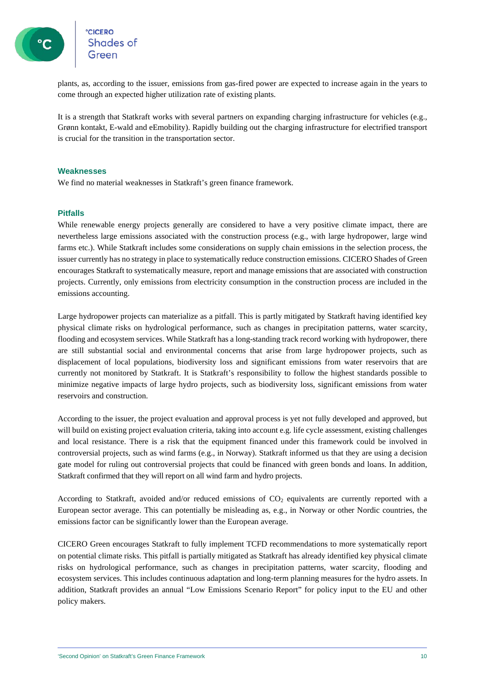CICERO<br>Shades of

plants, as, according to the issuer, emissions from gas-fired power are expected to increase again in the years to come through an expected higher utilization rate of existing plants.

It is a strength that Statkraft works with several partners on expanding charging infrastructure for vehicles (e.g., Grønn kontakt, E-wald and eEmobility). Rapidly building out the charging infrastructure for electrified transport is crucial for the transition in the transportation sector.

### **Weaknesses**

We find no material weaknesses in Statkraft's green finance framework.

### **Pitfalls**

While renewable energy projects generally are considered to have a very positive climate impact, there are nevertheless large emissions associated with the construction process (e.g., with large hydropower, large wind farms etc.). While Statkraft includes some considerations on supply chain emissions in the selection process, the issuer currently has no strategy in place to systematically reduce construction emissions. CICERO Shades of Green encourages Statkraft to systematically measure, report and manage emissions that are associated with construction projects. Currently, only emissions from electricity consumption in the construction process are included in the emissions accounting.

Large hydropower projects can materialize as a pitfall. This is partly mitigated by Statkraft having identified key physical climate risks on hydrological performance, such as changes in precipitation patterns, water scarcity, flooding and ecosystem services. While Statkraft has a long-standing track record working with hydropower, there are still substantial social and environmental concerns that arise from large hydropower projects, such as displacement of local populations, biodiversity loss and significant emissions from water reservoirs that are currently not monitored by Statkraft. It is Statkraft's responsibility to follow the highest standards possible to minimize negative impacts of large hydro projects, such as biodiversity loss, significant emissions from water reservoirs and construction.

According to the issuer, the project evaluation and approval process is yet not fully developed and approved, but will build on existing project evaluation criteria, taking into account e.g. life cycle assessment, existing challenges and local resistance. There is a risk that the equipment financed under this framework could be involved in controversial projects, such as wind farms (e.g., in Norway). Statkraft informed us that they are using a decision gate model for ruling out controversial projects that could be financed with green bonds and loans. In addition, Statkraft confirmed that they will report on all wind farm and hydro projects.

According to Statkraft, avoided and/or reduced emissions of CO<sub>2</sub> equivalents are currently reported with a European sector average. This can potentially be misleading as, e.g., in Norway or other Nordic countries, the emissions factor can be significantly lower than the European average.

CICERO Green encourages Statkraft to fully implement TCFD recommendations to more systematically report on potential climate risks. This pitfall is partially mitigated as Statkraft has already identified key physical climate risks on hydrological performance, such as changes in precipitation patterns, water scarcity, flooding and ecosystem services. This includes continuous adaptation and long-term planning measures for the hydro assets. In addition, Statkraft provides an annual "Low Emissions Scenario Report" for policy input to the EU and other policy makers.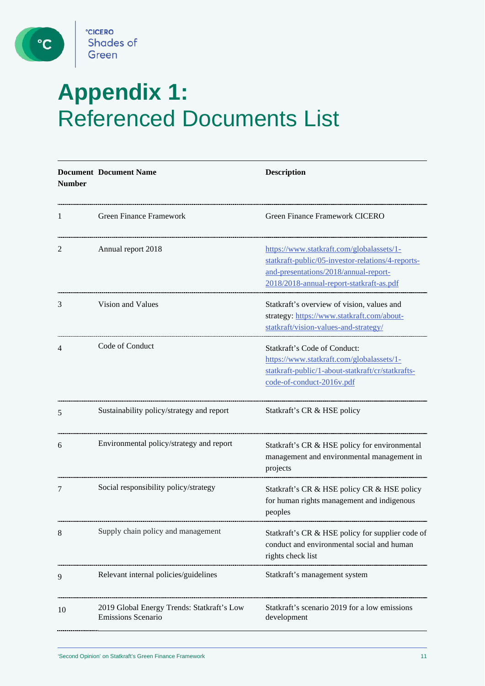

 $\mathbf{C}$ 

## **Appendix 1:** Referenced Documents List

| <b>Number</b> | <b>Document Document Name</b>                                           | <b>Description</b>                                                                                                                                                                  |
|---------------|-------------------------------------------------------------------------|-------------------------------------------------------------------------------------------------------------------------------------------------------------------------------------|
| 1             | Green Finance Framework                                                 | Green Finance Framework CICERO                                                                                                                                                      |
| 2             | Annual report 2018                                                      | https://www.statkraft.com/globalassets/1-<br>statkraft-public/05-investor-relations/4-reports-<br>and-presentations/2018/annual-report-<br>2018/2018-annual-report-statkraft-as.pdf |
| 3             | Vision and Values                                                       | Statkraft's overview of vision, values and<br>strategy: https://www.statkraft.com/about-<br>statkraft/vision-values-and-strategy/                                                   |
| 4             | Code of Conduct                                                         | Statkraft's Code of Conduct:<br>https://www.statkraft.com/globalassets/1-<br>statkraft-public/1-about-statkraft/cr/statkrafts-<br>code-of-conduct-2016v.pdf                         |
| 5             | Sustainability policy/strategy and report                               | Statkraft's CR & HSE policy                                                                                                                                                         |
| 6             | Environmental policy/strategy and report                                | Statkraft's CR & HSE policy for environmental<br>management and environmental management in<br>projects                                                                             |
| 7             | Social responsibility policy/strategy                                   | Statkraft's CR & HSE policy CR & HSE policy<br>for human rights management and indigenous<br>peoples                                                                                |
|               | Supply chain policy and management                                      | Statkraft's CR & HSE policy for supplier code of<br>conduct and environmental social and human<br>rights check list                                                                 |
| 9             | Relevant internal policies/guidelines                                   | Statkraft's management system                                                                                                                                                       |
| 10            | 2019 Global Energy Trends: Statkraft's Low<br><b>Emissions Scenario</b> | Statkraft's scenario 2019 for a low emissions<br>development                                                                                                                        |